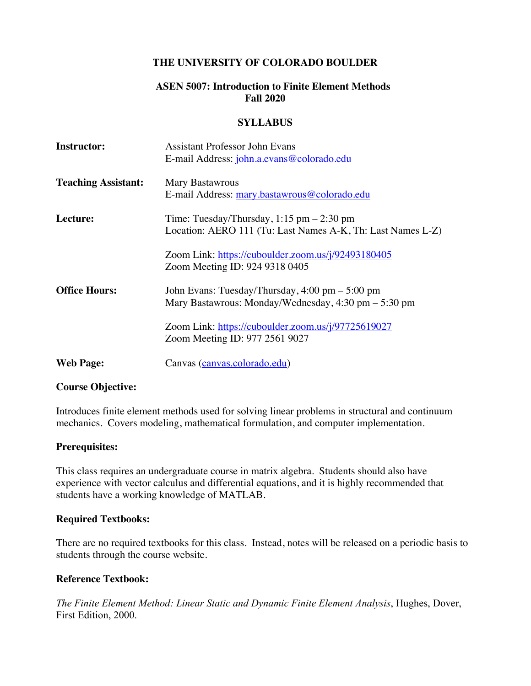### **THE UNIVERSITY OF COLORADO BOULDER**

### **ASEN 5007: Introduction to Finite Element Methods Fall 2020**

#### **SYLLABUS**

| <b>Instructor:</b>         | Assistant Professor John Evans                                         |
|----------------------------|------------------------------------------------------------------------|
|                            | E-mail Address: john.a.evans@colorado.edu                              |
| <b>Teaching Assistant:</b> | Mary Bastawrous                                                        |
|                            | E-mail Address: mary.bastawrous@colorado.edu                           |
| Lecture:                   | Time: Tuesday/Thursday, $1:15$ pm $-2:30$ pm                           |
|                            | Location: AERO 111 (Tu: Last Names A-K, Th: Last Names L-Z)            |
|                            | Zoom Link: https://cuboulder.zoom.us/j/92493180405                     |
|                            | Zoom Meeting ID: 924 9318 0405                                         |
| <b>Office Hours:</b>       | John Evans: Tuesday/Thursday, 4:00 pm – 5:00 pm                        |
|                            | Mary Bastawrous: Monday/Wednesday, $4:30 \text{ pm} - 5:30 \text{ pm}$ |
|                            | Zoom Link: https://cuboulder.zoom.us/j/97725619027                     |
|                            | Zoom Meeting ID: 977 2561 9027                                         |
| <b>Web Page:</b>           | Canvas (canvas.colorado.edu)                                           |

#### **Course Objective:**

Introduces finite element methods used for solving linear problems in structural and continuum mechanics. Covers modeling, mathematical formulation, and computer implementation.

#### **Prerequisites:**

This class requires an undergraduate course in matrix algebra. Students should also have experience with vector calculus and differential equations, and it is highly recommended that students have a working knowledge of MATLAB.

#### **Required Textbooks:**

There are no required textbooks for this class. Instead, notes will be released on a periodic basis to students through the course website.

#### **Reference Textbook:**

*The Finite Element Method: Linear Static and Dynamic Finite Element Analysis*, Hughes, Dover, First Edition, 2000.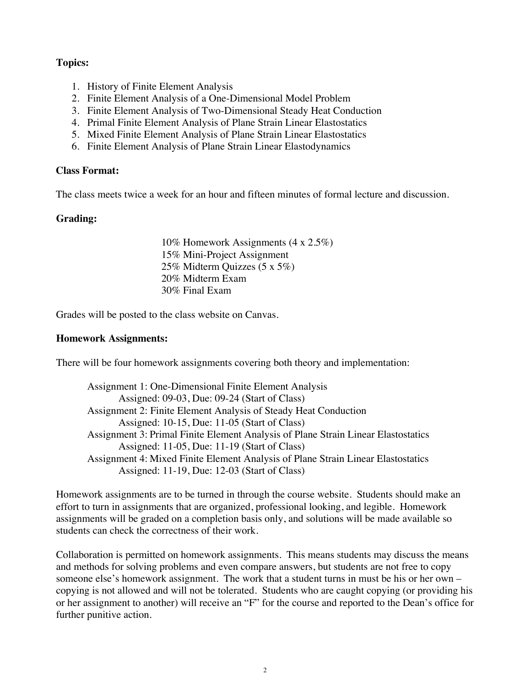### **Topics:**

- 1. History of Finite Element Analysis
- 2. Finite Element Analysis of a One-Dimensional Model Problem
- 3. Finite Element Analysis of Two-Dimensional Steady Heat Conduction
- 4. Primal Finite Element Analysis of Plane Strain Linear Elastostatics
- 5. Mixed Finite Element Analysis of Plane Strain Linear Elastostatics
- 6. Finite Element Analysis of Plane Strain Linear Elastodynamics

#### **Class Format:**

The class meets twice a week for an hour and fifteen minutes of formal lecture and discussion.

### **Grading:**

10% Homework Assignments (4 x 2.5%) 15% Mini-Project Assignment 25% Midterm Quizzes (5 x 5%) 20% Midterm Exam 30% Final Exam

Grades will be posted to the class website on Canvas.

#### **Homework Assignments:**

There will be four homework assignments covering both theory and implementation:

Assignment 1: One-Dimensional Finite Element Analysis Assigned: 09-03, Due: 09-24 (Start of Class) Assignment 2: Finite Element Analysis of Steady Heat Conduction Assigned: 10-15, Due: 11-05 (Start of Class) Assignment 3: Primal Finite Element Analysis of Plane Strain Linear Elastostatics Assigned: 11-05, Due: 11-19 (Start of Class) Assignment 4: Mixed Finite Element Analysis of Plane Strain Linear Elastostatics Assigned: 11-19, Due: 12-03 (Start of Class)

Homework assignments are to be turned in through the course website. Students should make an effort to turn in assignments that are organized, professional looking, and legible. Homework assignments will be graded on a completion basis only, and solutions will be made available so students can check the correctness of their work.

Collaboration is permitted on homework assignments. This means students may discuss the means and methods for solving problems and even compare answers, but students are not free to copy someone else's homework assignment. The work that a student turns in must be his or her own – copying is not allowed and will not be tolerated. Students who are caught copying (or providing his or her assignment to another) will receive an "F" for the course and reported to the Dean's office for further punitive action.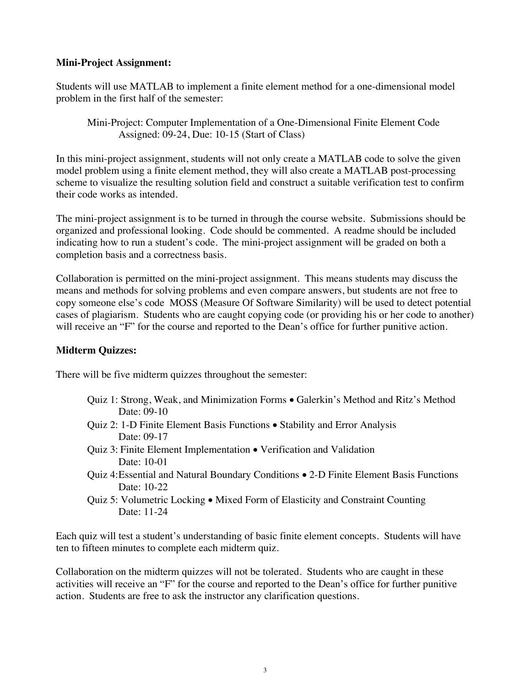### **Mini-Project Assignment:**

Students will use MATLAB to implement a finite element method for a one-dimensional model problem in the first half of the semester:

Mini-Project: Computer Implementation of a One-Dimensional Finite Element Code Assigned: 09-24, Due: 10-15 (Start of Class)

In this mini-project assignment, students will not only create a MATLAB code to solve the given model problem using a finite element method, they will also create a MATLAB post-processing scheme to visualize the resulting solution field and construct a suitable verification test to confirm their code works as intended.

The mini-project assignment is to be turned in through the course website. Submissions should be organized and professional looking. Code should be commented. A readme should be included indicating how to run a student's code. The mini-project assignment will be graded on both a completion basis and a correctness basis.

Collaboration is permitted on the mini-project assignment. This means students may discuss the means and methods for solving problems and even compare answers, but students are not free to copy someone else's code MOSS (Measure Of Software Similarity) will be used to detect potential cases of plagiarism. Students who are caught copying code (or providing his or her code to another) will receive an "F" for the course and reported to the Dean's office for further punitive action.

# **Midterm Quizzes:**

There will be five midterm quizzes throughout the semester:

- Quiz 1: Strong, Weak, and Minimization Forms Galerkin's Method and Ritz's Method Date: 09-10
- Quiz 2: 1-D Finite Element Basis Functions Stability and Error Analysis Date: 09-17
- Quiz 3: Finite Element Implementation Verification and Validation Date: 10-01
- Quiz 4:Essential and Natural Boundary Conditions 2-D Finite Element Basis Functions Date: 10-22
- Quiz 5: Volumetric Locking Mixed Form of Elasticity and Constraint Counting Date: 11-24

Each quiz will test a student's understanding of basic finite element concepts. Students will have ten to fifteen minutes to complete each midterm quiz.

Collaboration on the midterm quizzes will not be tolerated. Students who are caught in these activities will receive an "F" for the course and reported to the Dean's office for further punitive action. Students are free to ask the instructor any clarification questions.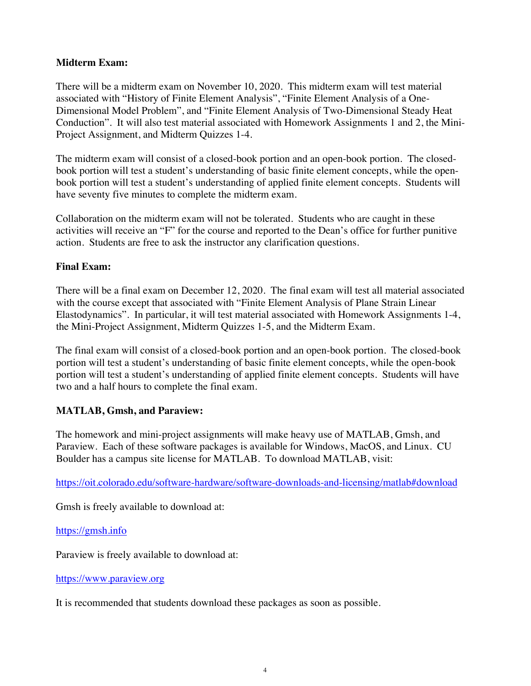### **Midterm Exam:**

There will be a midterm exam on November 10, 2020. This midterm exam will test material associated with "History of Finite Element Analysis", "Finite Element Analysis of a One-Dimensional Model Problem", and "Finite Element Analysis of Two-Dimensional Steady Heat Conduction". It will also test material associated with Homework Assignments 1 and 2, the Mini-Project Assignment, and Midterm Quizzes 1-4.

The midterm exam will consist of a closed-book portion and an open-book portion. The closedbook portion will test a student's understanding of basic finite element concepts, while the openbook portion will test a student's understanding of applied finite element concepts. Students will have seventy five minutes to complete the midterm exam.

Collaboration on the midterm exam will not be tolerated. Students who are caught in these activities will receive an "F" for the course and reported to the Dean's office for further punitive action. Students are free to ask the instructor any clarification questions.

# **Final Exam:**

There will be a final exam on December 12, 2020. The final exam will test all material associated with the course except that associated with "Finite Element Analysis of Plane Strain Linear Elastodynamics". In particular, it will test material associated with Homework Assignments 1-4, the Mini-Project Assignment, Midterm Quizzes 1-5, and the Midterm Exam.

The final exam will consist of a closed-book portion and an open-book portion. The closed-book portion will test a student's understanding of basic finite element concepts, while the open-book portion will test a student's understanding of applied finite element concepts. Students will have two and a half hours to complete the final exam.

# **MATLAB, Gmsh, and Paraview:**

The homework and mini-project assignments will make heavy use of MATLAB, Gmsh, and Paraview. Each of these software packages is available for Windows, MacOS, and Linux. CU Boulder has a campus site license for MATLAB. To download MATLAB, visit:

https://oit.colorado.edu/software-hardware/software-downloads-and-licensing/matlab#download

Gmsh is freely available to download at:

https://gmsh.info

Paraview is freely available to download at:

#### https://www.paraview.org

It is recommended that students download these packages as soon as possible.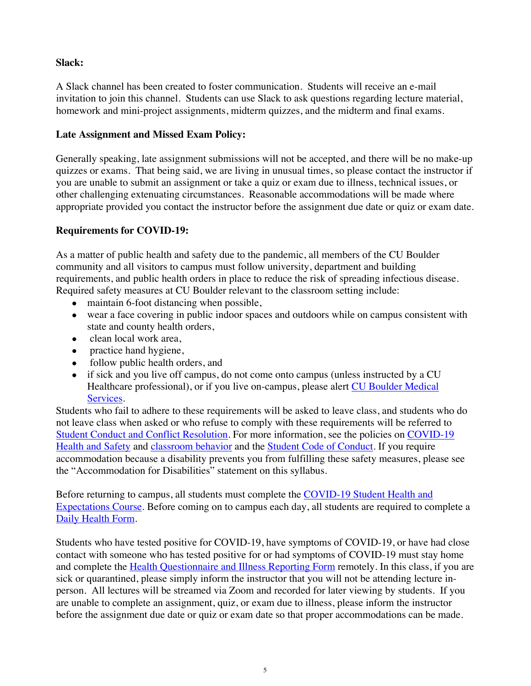# **Slack:**

A Slack channel has been created to foster communication. Students will receive an e-mail invitation to join this channel. Students can use Slack to ask questions regarding lecture material, homework and mini-project assignments, midterm quizzes, and the midterm and final exams.

# **Late Assignment and Missed Exam Policy:**

Generally speaking, late assignment submissions will not be accepted, and there will be no make-up quizzes or exams. That being said, we are living in unusual times, so please contact the instructor if you are unable to submit an assignment or take a quiz or exam due to illness, technical issues, or other challenging extenuating circumstances. Reasonable accommodations will be made where appropriate provided you contact the instructor before the assignment due date or quiz or exam date.

# **Requirements for COVID-19:**

As a matter of public health and safety due to the pandemic, all members of the CU Boulder community and all visitors to campus must follow university, department and building requirements, and public health orders in place to reduce the risk of spreading infectious disease. Required safety measures at CU Boulder relevant to the classroom setting include:

- maintain 6-foot distancing when possible,
- wear a face covering in public indoor spaces and outdoors while on campus consistent with state and county health orders,
- clean local work area,
- practice hand hygiene,
- follow public health orders, and
- if sick and you live off campus, do not come onto campus (unless instructed by a CU Healthcare professional), or if you live on-campus, please alert CU Boulder Medical Services.

Students who fail to adhere to these requirements will be asked to leave class, and students who do not leave class when asked or who refuse to comply with these requirements will be referred to Student Conduct and Conflict Resolution. For more information, see the policies on COVID-19 Health and Safety and classroom behavior and the Student Code of Conduct. If you require accommodation because a disability prevents you from fulfilling these safety measures, please see the "Accommodation for Disabilities" statement on this syllabus.

Before returning to campus, all students must complete the COVID-19 Student Health and Expectations Course. Before coming on to campus each day, all students are required to complete a Daily Health Form.

Students who have tested positive for COVID-19, have symptoms of COVID-19, or have had close contact with someone who has tested positive for or had symptoms of COVID-19 must stay home and complete the Health Questionnaire and Illness Reporting Form remotely. In this class, if you are sick or quarantined, please simply inform the instructor that you will not be attending lecture inperson. All lectures will be streamed via Zoom and recorded for later viewing by students.If you are unable to complete an assignment, quiz, or exam due to illness, please inform the instructor before the assignment due date or quiz or exam date so that proper accommodations can be made.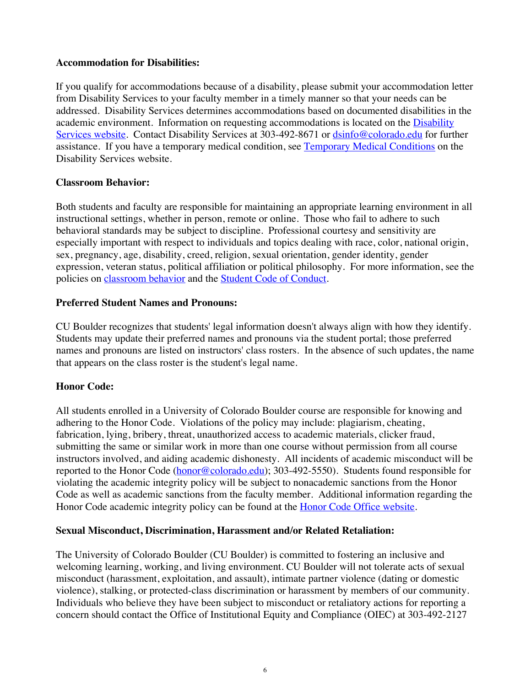#### **Accommodation for Disabilities:**

If you qualify for accommodations because of a disability, please submit your accommodation letter from Disability Services to your faculty member in a timely manner so that your needs can be addressed. Disability Services determines accommodations based on documented disabilities in the academic environment. Information on requesting accommodations is located on the Disability Services website. Contact Disability Services at 303-492-8671 or dsinfo@colorado.edu for further assistance. If you have a temporary medical condition, see Temporary Medical Conditions on the Disability Services website.

# **Classroom Behavior:**

Both students and faculty are responsible for maintaining an appropriate learning environment in all instructional settings, whether in person, remote or online. Those who fail to adhere to such behavioral standards may be subject to discipline. Professional courtesy and sensitivity are especially important with respect to individuals and topics dealing with race, color, national origin, sex, pregnancy, age, disability, creed, religion, sexual orientation, gender identity, gender expression, veteran status, political affiliation or political philosophy. For more information, see the policies on classroom behavior and the Student Code of Conduct.

# **Preferred Student Names and Pronouns:**

CU Boulder recognizes that students' legal information doesn't always align with how they identify. Students may update their preferred names and pronouns via the student portal; those preferred names and pronouns are listed on instructors' class rosters. In the absence of such updates, the name that appears on the class roster is the student's legal name.

# **Honor Code:**

All students enrolled in a University of Colorado Boulder course are responsible for knowing and adhering to the Honor Code. Violations of the policy may include: plagiarism, cheating, fabrication, lying, bribery, threat, unauthorized access to academic materials, clicker fraud, submitting the same or similar work in more than one course without permission from all course instructors involved, and aiding academic dishonesty. All incidents of academic misconduct will be reported to the Honor Code (honor@colorado.edu); 303-492-5550). Students found responsible for violating the academic integrity policy will be subject to nonacademic sanctions from the Honor Code as well as academic sanctions from the faculty member. Additional information regarding the Honor Code academic integrity policy can be found at the **Honor Code Office website**.

# **Sexual Misconduct, Discrimination, Harassment and/or Related Retaliation:**

The University of Colorado Boulder (CU Boulder) is committed to fostering an inclusive and welcoming learning, working, and living environment. CU Boulder will not tolerate acts of sexual misconduct (harassment, exploitation, and assault), intimate partner violence (dating or domestic violence), stalking, or protected-class discrimination or harassment by members of our community. Individuals who believe they have been subject to misconduct or retaliatory actions for reporting a concern should contact the Office of Institutional Equity and Compliance (OIEC) at 303-492-2127